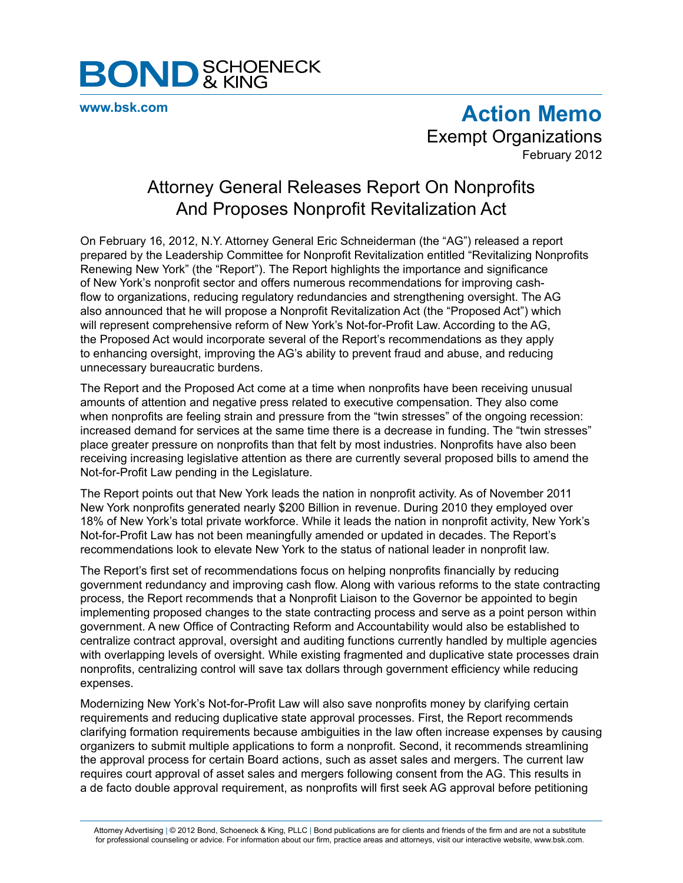

**[www.bsk.com](http://www.bsk.com/index.cfm)**

**Action Memo** Exempt Organizations February 2012

## Attorney General Releases Report On Nonprofits And Proposes Nonprofit Revitalization Act

On February 16, 2012, N.Y. Attorney General Eric Schneiderman (the "AG") released a report prepared by the Leadership Committee for Nonprofit Revitalization entitled "Revitalizing Nonprofits Renewing New York" (the "Report"). The Report highlights the importance and significance of New York's nonprofit sector and offers numerous recommendations for improving cashflow to organizations, reducing regulatory redundancies and strengthening oversight. The AG also announced that he will propose a Nonprofit Revitalization Act (the "Proposed Act") which will represent comprehensive reform of New York's Not-for-Profit Law. According to the AG, the Proposed Act would incorporate several of the Report's recommendations as they apply to enhancing oversight, improving the AG's ability to prevent fraud and abuse, and reducing unnecessary bureaucratic burdens.

The Report and the Proposed Act come at a time when nonprofits have been receiving unusual amounts of attention and negative press related to executive compensation. They also come when nonprofits are feeling strain and pressure from the "twin stresses" of the ongoing recession: increased demand for services at the same time there is a decrease in funding. The "twin stresses" place greater pressure on nonprofits than that felt by most industries. Nonprofits have also been receiving increasing legislative attention as there are currently several proposed bills to amend the Not-for-Profit Law pending in the Legislature.

The Report points out that New York leads the nation in nonprofit activity. As of November 2011 New York nonprofits generated nearly \$200 Billion in revenue. During 2010 they employed over 18% of New York's total private workforce. While it leads the nation in nonprofit activity, New York's Not-for-Profit Law has not been meaningfully amended or updated in decades. The Report's recommendations look to elevate New York to the status of national leader in nonprofit law.

The Report's first set of recommendations focus on helping nonprofits financially by reducing government redundancy and improving cash flow. Along with various reforms to the state contracting process, the Report recommends that a Nonprofit Liaison to the Governor be appointed to begin implementing proposed changes to the state contracting process and serve as a point person within government. A new Office of Contracting Reform and Accountability would also be established to centralize contract approval, oversight and auditing functions currently handled by multiple agencies with overlapping levels of oversight. While existing fragmented and duplicative state processes drain nonprofits, centralizing control will save tax dollars through government efficiency while reducing expenses.

Modernizing New York's Not-for-Profit Law will also save nonprofits money by clarifying certain requirements and reducing duplicative state approval processes. First, the Report recommends clarifying formation requirements because ambiguities in the law often increase expenses by causing organizers to submit multiple applications to form a nonprofit. Second, it recommends streamlining the approval process for certain Board actions, such as asset sales and mergers. The current law requires court approval of asset sales and mergers following consent from the AG. This results in a de facto double approval requirement, as nonprofits will first seek AG approval before petitioning